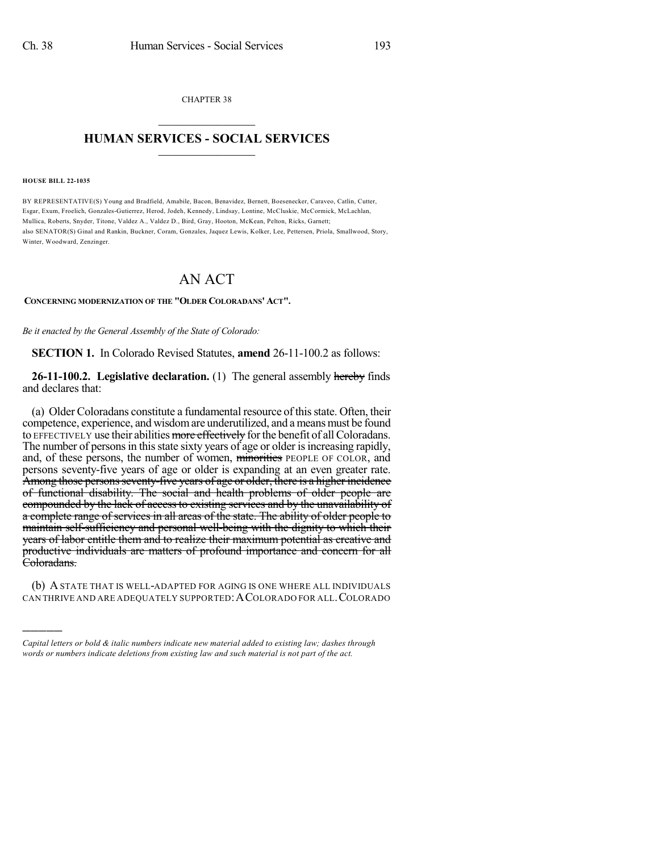CHAPTER 38  $\mathcal{L}_\text{max}$  . The set of the set of the set of the set of the set of the set of the set of the set of the set of the set of the set of the set of the set of the set of the set of the set of the set of the set of the set

## **HUMAN SERVICES - SOCIAL SERVICES**  $\frac{1}{2}$  ,  $\frac{1}{2}$  ,  $\frac{1}{2}$  ,  $\frac{1}{2}$  ,  $\frac{1}{2}$  ,  $\frac{1}{2}$

#### **HOUSE BILL 22-1035**

)))))

BY REPRESENTATIVE(S) Young and Bradfield, Amabile, Bacon, Benavidez, Bernett, Boesenecker, Caraveo, Catlin, Cutter, Esgar, Exum, Froelich, Gonzales-Gutierrez, Herod, Jodeh, Kennedy, Lindsay, Lontine, McCluskie, McCormick, McLachlan, Mullica, Roberts, Snyder, Titone, Valdez A., Valdez D., Bird, Gray, Hooton, McKean, Pelton, Ricks, Garnett; also SENATOR(S) Ginal and Rankin, Buckner, Coram, Gonzales, Jaquez Lewis, Kolker, Lee, Pettersen, Priola, Smallwood, Story, Winter, Woodward, Zenzinger.

# AN ACT

### **CONCERNING MODERNIZATION OF THE "OLDER COLORADANS' ACT".**

*Be it enacted by the General Assembly of the State of Colorado:*

**SECTION 1.** In Colorado Revised Statutes, **amend** 26-11-100.2 as follows:

**26-11-100.2. Legislative declaration.** (1) The general assembly hereby finds and declares that:

(a) Older Coloradans constitute a fundamental resource ofthisstate. Often, their competence, experience, and wisdom are underutilized, and a means must be found to EFFECTIVELY use their abilities more effectively for the benefit of all Coloradans. The number of persons in this state sixty years of age or older is increasing rapidly, and, of these persons, the number of women, minorities PEOPLE OF COLOR, and persons seventy-five years of age or older is expanding at an even greater rate. Among those persons seventy-five years of age or older, there is a higher incidence of functional disability. The social and health problems of older people are compounded by the lack of access to existing services and by the unavailability of a complete range of services in all areas of the state. The ability of older people to maintain self-sufficiency and personal well-being with the dignity to which their years of labor entitle them and to realize their maximum potential as creative and productive individuals are matters of profound importance and concern for all Coloradans.

(b) ASTATE THAT IS WELL-ADAPTED FOR AGING IS ONE WHERE ALL INDIVIDUALS CAN THRIVE AND ARE ADEQUATELY SUPPORTED:ACOLORADO FOR ALL.COLORADO

*Capital letters or bold & italic numbers indicate new material added to existing law; dashes through words or numbers indicate deletions from existing law and such material is not part of the act.*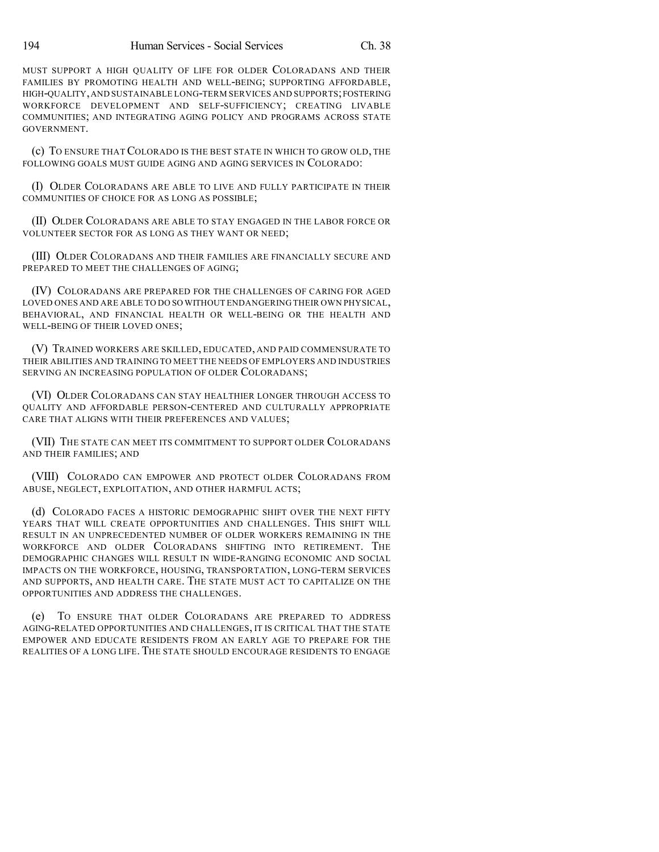MUST SUPPORT A HIGH QUALITY OF LIFE FOR OLDER COLORADANS AND THEIR FAMILIES BY PROMOTING HEALTH AND WELL-BEING; SUPPORTING AFFORDABLE, HIGH-QUALITY,AND SUSTAINABLE LONG-TERM SERVICES AND SUPPORTS;FOSTERING WORKFORCE DEVELOPMENT AND SELF-SUFFICIENCY; CREATING LIVABLE COMMUNITIES; AND INTEGRATING AGING POLICY AND PROGRAMS ACROSS STATE GOVERNMENT.

(c) TO ENSURE THATCOLORADO IS THE BEST STATE IN WHICH TO GROW OLD, THE FOLLOWING GOALS MUST GUIDE AGING AND AGING SERVICES IN COLORADO:

(I) OLDER COLORADANS ARE ABLE TO LIVE AND FULLY PARTICIPATE IN THEIR COMMUNITIES OF CHOICE FOR AS LONG AS POSSIBLE;

(II) OLDER COLORADANS ARE ABLE TO STAY ENGAGED IN THE LABOR FORCE OR VOLUNTEER SECTOR FOR AS LONG AS THEY WANT OR NEED;

(III) OLDER COLORADANS AND THEIR FAMILIES ARE FINANCIALLY SECURE AND PREPARED TO MEET THE CHALLENGES OF AGING;

(IV) COLORADANS ARE PREPARED FOR THE CHALLENGES OF CARING FOR AGED LOVED ONES AND ARE ABLE TO DO SO WITHOUT ENDANGERING THEIR OWN PHYSICAL, BEHAVIORAL, AND FINANCIAL HEALTH OR WELL-BEING OR THE HEALTH AND WELL-BEING OF THEIR LOVED ONES;

(V) TRAINED WORKERS ARE SKILLED, EDUCATED, AND PAID COMMENSURATE TO THEIR ABILITIES AND TRAINING TO MEET THE NEEDS OF EMPLOYERS AND INDUSTRIES SERVING AN INCREASING POPULATION OF OLDER COLORADANS;

(VI) OLDER COLORADANS CAN STAY HEALTHIER LONGER THROUGH ACCESS TO QUALITY AND AFFORDABLE PERSON-CENTERED AND CULTURALLY APPROPRIATE CARE THAT ALIGNS WITH THEIR PREFERENCES AND VALUES;

(VII) THE STATE CAN MEET ITS COMMITMENT TO SUPPORT OLDER COLORADANS AND THEIR FAMILIES; AND

(VIII) COLORADO CAN EMPOWER AND PROTECT OLDER COLORADANS FROM ABUSE, NEGLECT, EXPLOITATION, AND OTHER HARMFUL ACTS;

(d) COLORADO FACES A HISTORIC DEMOGRAPHIC SHIFT OVER THE NEXT FIFTY YEARS THAT WILL CREATE OPPORTUNITIES AND CHALLENGES. THIS SHIFT WILL RESULT IN AN UNPRECEDENTED NUMBER OF OLDER WORKERS REMAINING IN THE WORKFORCE AND OLDER COLORADANS SHIFTING INTO RETIREMENT. THE DEMOGRAPHIC CHANGES WILL RESULT IN WIDE-RANGING ECONOMIC AND SOCIAL IMPACTS ON THE WORKFORCE, HOUSING, TRANSPORTATION, LONG-TERM SERVICES AND SUPPORTS, AND HEALTH CARE. THE STATE MUST ACT TO CAPITALIZE ON THE OPPORTUNITIES AND ADDRESS THE CHALLENGES.

(e) TO ENSURE THAT OLDER COLORADANS ARE PREPARED TO ADDRESS AGING-RELATED OPPORTUNITIES AND CHALLENGES, IT IS CRITICAL THAT THE STATE EMPOWER AND EDUCATE RESIDENTS FROM AN EARLY AGE TO PREPARE FOR THE REALITIES OF A LONG LIFE. THE STATE SHOULD ENCOURAGE RESIDENTS TO ENGAGE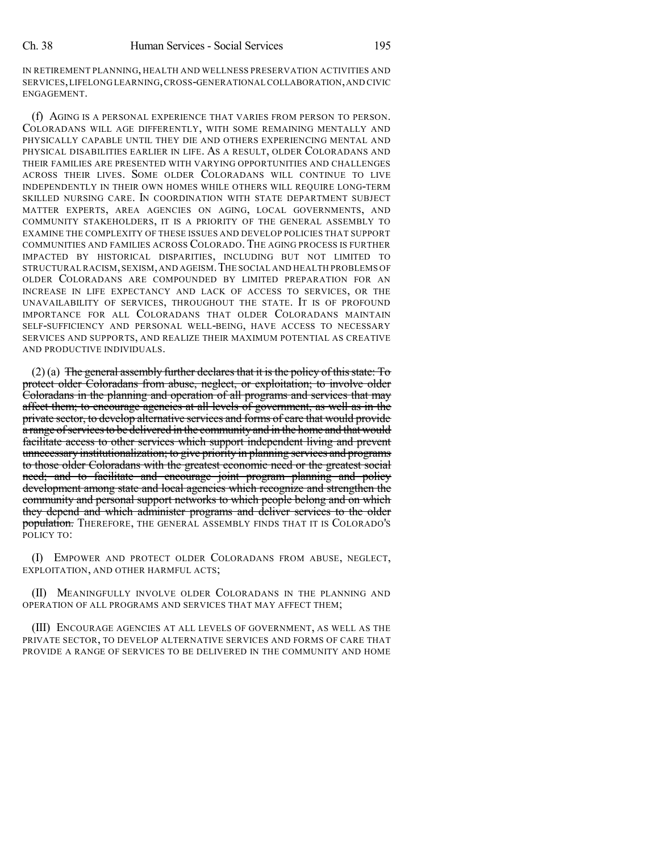IN RETIREMENT PLANNING, HEALTH AND WELLNESS PRESERVATION ACTIVITIES AND SERVICES,LIFELONG LEARNING,CROSS-GENERATIONAL COLLABORATION,AND CIVIC ENGAGEMENT.

(f) AGING IS A PERSONAL EXPERIENCE THAT VARIES FROM PERSON TO PERSON. COLORADANS WILL AGE DIFFERENTLY, WITH SOME REMAINING MENTALLY AND PHYSICALLY CAPABLE UNTIL THEY DIE AND OTHERS EXPERIENCING MENTAL AND PHYSICAL DISABILITIES EARLIER IN LIFE. AS A RESULT, OLDER COLORADANS AND THEIR FAMILIES ARE PRESENTED WITH VARYING OPPORTUNITIES AND CHALLENGES ACROSS THEIR LIVES. SOME OLDER COLORADANS WILL CONTINUE TO LIVE INDEPENDENTLY IN THEIR OWN HOMES WHILE OTHERS WILL REQUIRE LONG-TERM SKILLED NURSING CARE. IN COORDINATION WITH STATE DEPARTMENT SUBJECT MATTER EXPERTS, AREA AGENCIES ON AGING, LOCAL GOVERNMENTS, AND COMMUNITY STAKEHOLDERS, IT IS A PRIORITY OF THE GENERAL ASSEMBLY TO EXAMINE THE COMPLEXITY OF THESE ISSUES AND DEVELOP POLICIES THAT SUPPORT COMMUNITIES AND FAMILIES ACROSS COLORADO. THE AGING PROCESS IS FURTHER IMPACTED BY HISTORICAL DISPARITIES, INCLUDING BUT NOT LIMITED TO STRUCTURAL RACISM,SEXISM,AND AGEISM.THE SOCIAL AND HEALTH PROBLEMS OF OLDER COLORADANS ARE COMPOUNDED BY LIMITED PREPARATION FOR AN INCREASE IN LIFE EXPECTANCY AND LACK OF ACCESS TO SERVICES, OR THE UNAVAILABILITY OF SERVICES, THROUGHOUT THE STATE. IT IS OF PROFOUND IMPORTANCE FOR ALL COLORADANS THAT OLDER COLORADANS MAINTAIN SELF-SUFFICIENCY AND PERSONAL WELL-BEING, HAVE ACCESS TO NECESSARY SERVICES AND SUPPORTS, AND REALIZE THEIR MAXIMUM POTENTIAL AS CREATIVE AND PRODUCTIVE INDIVIDUALS.

 $(2)$  (a) The general assembly further declares that it is the policy of this state: To protect older Coloradans from abuse, neglect, or exploitation; to involve older Coloradans in the planning and operation of all programs and services that may affect them; to encourage agencies at all levels of government, as well as in the private sector, to develop alternative services and forms of care that would provide a range of services to be delivered in the community and in the home and that would facilitate access to other services which support independent living and prevent unnecessary institutionalization; to give priority in planning services and programs to those older Coloradans with the greatest economic need or the greatest social need; and to facilitate and encourage joint program planning and policy development among state and local agencies which recognize and strengthen the community and personal support networks to which people belong and on which they depend and which administer programs and deliver services to the older population. THEREFORE, THE GENERAL ASSEMBLY FINDS THAT IT IS COLORADO'S POLICY TO:

(I) EMPOWER AND PROTECT OLDER COLORADANS FROM ABUSE, NEGLECT, EXPLOITATION, AND OTHER HARMFUL ACTS;

(II) MEANINGFULLY INVOLVE OLDER COLORADANS IN THE PLANNING AND OPERATION OF ALL PROGRAMS AND SERVICES THAT MAY AFFECT THEM;

(III) ENCOURAGE AGENCIES AT ALL LEVELS OF GOVERNMENT, AS WELL AS THE PRIVATE SECTOR, TO DEVELOP ALTERNATIVE SERVICES AND FORMS OF CARE THAT PROVIDE A RANGE OF SERVICES TO BE DELIVERED IN THE COMMUNITY AND HOME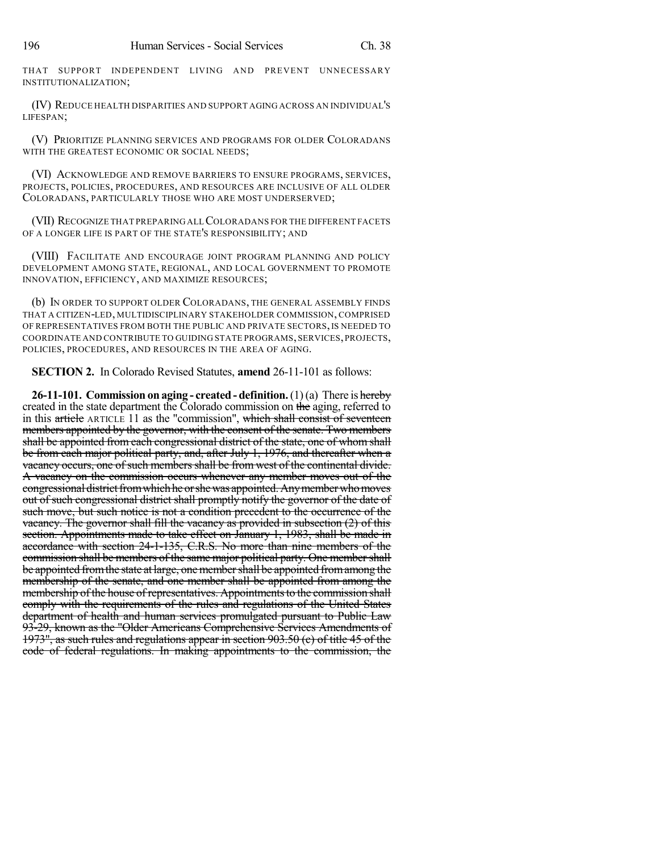THAT SUPPORT INDEPENDENT LIVING AND PREVENT UNNECESSARY INSTITUTIONALIZATION;

(IV) REDUCE HEALTH DISPARITIES AND SUPPORT AGING ACROSS AN INDIVIDUAL'S LIFESPAN;

(V) PRIORITIZE PLANNING SERVICES AND PROGRAMS FOR OLDER COLORADANS WITH THE GREATEST ECONOMIC OR SOCIAL NEEDS;

(VI) ACKNOWLEDGE AND REMOVE BARRIERS TO ENSURE PROGRAMS, SERVICES, PROJECTS, POLICIES, PROCEDURES, AND RESOURCES ARE INCLUSIVE OF ALL OLDER COLORADANS, PARTICULARLY THOSE WHO ARE MOST UNDERSERVED;

(VII) RECOGNIZE THAT PREPARING ALLCOLORADANS FOR THE DIFFERENT FACETS OF A LONGER LIFE IS PART OF THE STATE'S RESPONSIBILITY; AND

(VIII) FACILITATE AND ENCOURAGE JOINT PROGRAM PLANNING AND POLICY DEVELOPMENT AMONG STATE, REGIONAL, AND LOCAL GOVERNMENT TO PROMOTE INNOVATION, EFFICIENCY, AND MAXIMIZE RESOURCES;

(b) IN ORDER TO SUPPORT OLDER COLORADANS, THE GENERAL ASSEMBLY FINDS THAT A CITIZEN-LED, MULTIDISCIPLINARY STAKEHOLDER COMMISSION, COMPRISED OF REPRESENTATIVES FROM BOTH THE PUBLIC AND PRIVATE SECTORS,IS NEEDED TO COORDINATE AND CONTRIBUTE TO GUIDING STATE PROGRAMS, SERVICES,PROJECTS, POLICIES, PROCEDURES, AND RESOURCES IN THE AREA OF AGING.

**SECTION 2.** In Colorado Revised Statutes, **amend** 26-11-101 as follows:

**26-11-101. Commission on aging - created - definition.**(1)(a) There is hereby created in the state department the Colorado commission on the aging, referred to in this article ARTICLE 11 as the "commission", which shall consist of seventeen members appointed by the governor, with the consent of the senate. Two members shall be appointed from each congressional district of the state, one of whom shall be from each major political party, and, after July 1, 1976, and thereafter when a vacancy occurs, one of such members shall be from west of the continental divide. A vacancy on the commission occurs whenever any member moves out of the congressional district from which he or she was appointed. Any member who moves out of such congressional district shall promptly notify the governor of the date of such move, but such notice is not a condition precedent to the occurrence of the vacancy. The governor shall fill the vacancy as provided in subsection (2) of this section. Appointments made to take effect on January 1, 1983, shall be made in accordance with section 24-1-135, C.R.S. No more than nine members of the commission shall be members of the same major political party. One membershall be appointed from the state at large, one member shall be appointed from among the membership of the senate, and one member shall be appointed from among the membership of the house of representatives. Appointments to the commission shall comply with the requirements of the rules and regulations of the United States department of health and human services promulgated pursuant to Public Law 93-29, known as the "Older Americans Comprehensive Services Amendments of 1973", as such rules and regulations appear in section 903.50 (c) of title 45 of the code of federal regulations. In making appointments to the commission, the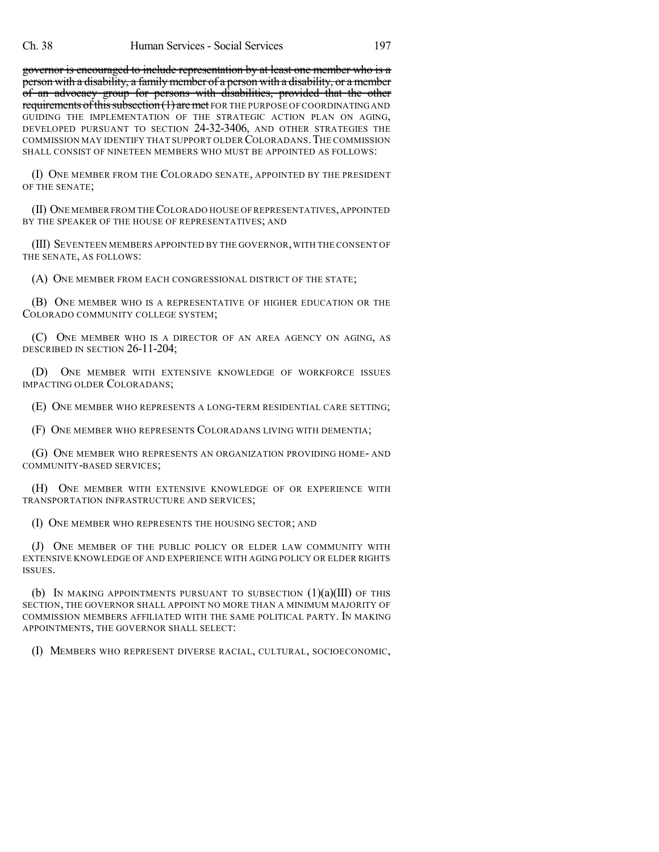governor is encouraged to include representation by at least one member who is a person with a disability, a familymember of a person with a disability, or a member of an advocacy group for persons with disabilities, provided that the other requirements of this subsection (1) are met FOR THE PURPOSE OF COORDINATING AND GUIDING THE IMPLEMENTATION OF THE STRATEGIC ACTION PLAN ON AGING, DEVELOPED PURSUANT TO SECTION 24-32-3406, AND OTHER STRATEGIES THE COMMISSION MAY IDENTIFY THAT SUPPORT OLDER COLORADANS.THE COMMISSION SHALL CONSIST OF NINETEEN MEMBERS WHO MUST BE APPOINTED AS FOLLOWS:

(I) ONE MEMBER FROM THE COLORADO SENATE, APPOINTED BY THE PRESIDENT OF THE SENATE;

(II) ONE MEMBER FROM THECOLORADO HOUSE OF REPRESENTATIVES,APPOINTED BY THE SPEAKER OF THE HOUSE OF REPRESENTATIVES; AND

(III) SEVENTEEN MEMBERS APPOINTED BY THE GOVERNOR,WITH THE CONSENT OF THE SENATE, AS FOLLOWS:

(A) ONE MEMBER FROM EACH CONGRESSIONAL DISTRICT OF THE STATE;

(B) ONE MEMBER WHO IS A REPRESENTATIVE OF HIGHER EDUCATION OR THE COLORADO COMMUNITY COLLEGE SYSTEM;

(C) ONE MEMBER WHO IS A DIRECTOR OF AN AREA AGENCY ON AGING, AS DESCRIBED IN SECTION 26-11-204;

(D) ONE MEMBER WITH EXTENSIVE KNOWLEDGE OF WORKFORCE ISSUES IMPACTING OLDER COLORADANS;

(E) ONE MEMBER WHO REPRESENTS A LONG-TERM RESIDENTIAL CARE SETTING;

(F) ONE MEMBER WHO REPRESENTS COLORADANS LIVING WITH DEMENTIA;

(G) ONE MEMBER WHO REPRESENTS AN ORGANIZATION PROVIDING HOME- AND COMMUNITY-BASED SERVICES;

(H) ONE MEMBER WITH EXTENSIVE KNOWLEDGE OF OR EXPERIENCE WITH TRANSPORTATION INFRASTRUCTURE AND SERVICES;

(I) ONE MEMBER WHO REPRESENTS THE HOUSING SECTOR; AND

(J) ONE MEMBER OF THE PUBLIC POLICY OR ELDER LAW COMMUNITY WITH EXTENSIVE KNOWLEDGE OF AND EXPERIENCE WITH AGING POLICY OR ELDER RIGHTS ISSUES.

(b) IN MAKING APPOINTMENTS PURSUANT TO SUBSECTION  $(1)(a)(III)$  of this SECTION, THE GOVERNOR SHALL APPOINT NO MORE THAN A MINIMUM MAJORITY OF COMMISSION MEMBERS AFFILIATED WITH THE SAME POLITICAL PARTY. IN MAKING APPOINTMENTS, THE GOVERNOR SHALL SELECT:

(I) MEMBERS WHO REPRESENT DIVERSE RACIAL, CULTURAL, SOCIOECONOMIC,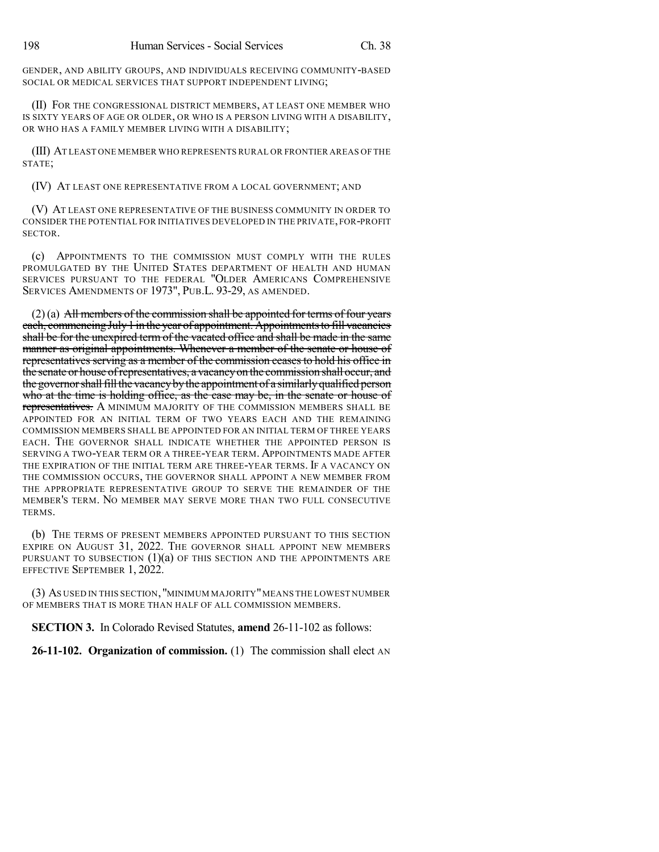GENDER, AND ABILITY GROUPS, AND INDIVIDUALS RECEIVING COMMUNITY-BASED SOCIAL OR MEDICAL SERVICES THAT SUPPORT INDEPENDENT LIVING;

(II) FOR THE CONGRESSIONAL DISTRICT MEMBERS, AT LEAST ONE MEMBER WHO IS SIXTY YEARS OF AGE OR OLDER, OR WHO IS A PERSON LIVING WITH A DISABILITY, OR WHO HAS A FAMILY MEMBER LIVING WITH A DISABILITY;

(III) AT LEAST ONE MEMBER WHO REPRESENTS RURAL OR FRONTIER AREAS OF THE STATE;

(IV) AT LEAST ONE REPRESENTATIVE FROM A LOCAL GOVERNMENT; AND

(V) AT LEAST ONE REPRESENTATIVE OF THE BUSINESS COMMUNITY IN ORDER TO CONSIDER THE POTENTIAL FOR INITIATIVES DEVELOPED IN THE PRIVATE, FOR-PROFIT SECTOR.

(c) APPOINTMENTS TO THE COMMISSION MUST COMPLY WITH THE RULES PROMULGATED BY THE UNITED STATES DEPARTMENT OF HEALTH AND HUMAN SERVICES PURSUANT TO THE FEDERAL "OLDER AMERICANS COMPREHENSIVE SERVICES AMENDMENTS OF 1973", PUB.L. 93-29, AS AMENDED.

 $(2)$ (a) All members of the commission shall be appointed for terms of four years each, commencing July 1 in the year of appointment. Appointments to fill vacancies shall be for the unexpired term of the vacated office and shall be made in the same manner as original appointments. Whenever a member of the senate or house of representatives serving as a member of the commission ceasesto hold his office in the senate or house of representatives, a vacancy on the commission shall occur, and the governor shall fill the vacancy by the appointment of a similarly qualified person who at the time is holding office, as the case may be, in the senate or house of representatives. A MINIMUM MAJORITY OF THE COMMISSION MEMBERS SHALL BE APPOINTED FOR AN INITIAL TERM OF TWO YEARS EACH AND THE REMAINING COMMISSION MEMBERS SHALL BE APPOINTED FOR AN INITIAL TERM OF THREE YEARS EACH. THE GOVERNOR SHALL INDICATE WHETHER THE APPOINTED PERSON IS SERVING A TWO-YEAR TERM OR A THREE-YEAR TERM. APPOINTMENTS MADE AFTER THE EXPIRATION OF THE INITIAL TERM ARE THREE-YEAR TERMS. IF A VACANCY ON THE COMMISSION OCCURS, THE GOVERNOR SHALL APPOINT A NEW MEMBER FROM THE APPROPRIATE REPRESENTATIVE GROUP TO SERVE THE REMAINDER OF THE MEMBER'S TERM. NO MEMBER MAY SERVE MORE THAN TWO FULL CONSECUTIVE TERMS.

(b) THE TERMS OF PRESENT MEMBERS APPOINTED PURSUANT TO THIS SECTION EXPIRE ON AUGUST 31, 2022. THE GOVERNOR SHALL APPOINT NEW MEMBERS PURSUANT TO SUBSECTION  $(1)(a)$  of this section and the appointments are EFFECTIVE SEPTEMBER 1, 2022.

(3) AS USED IN THIS SECTION, "MINIMUM MAJORITY"MEANS THE LOWEST NUMBER OF MEMBERS THAT IS MORE THAN HALF OF ALL COMMISSION MEMBERS.

**SECTION 3.** In Colorado Revised Statutes, **amend** 26-11-102 as follows:

**26-11-102. Organization of commission.** (1) The commission shall elect AN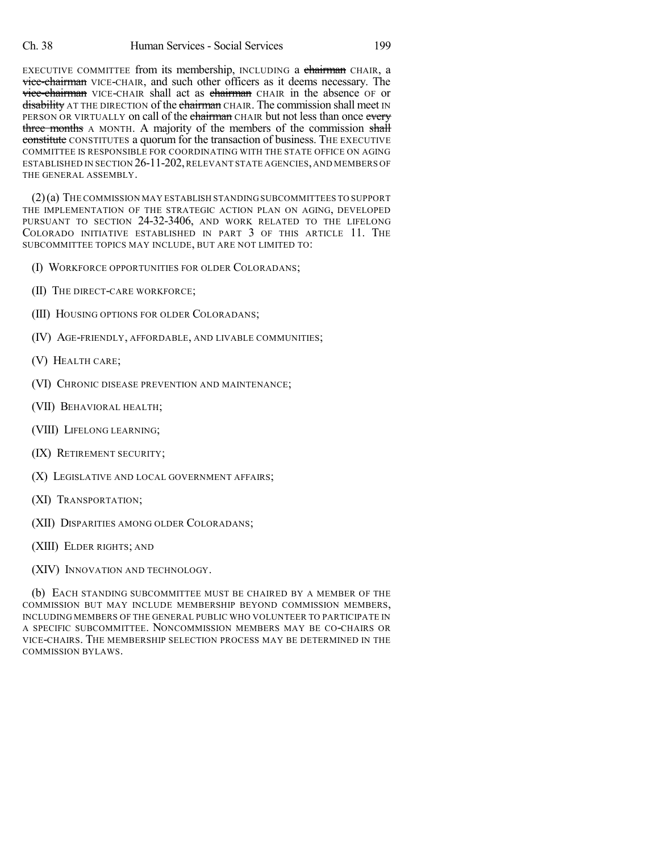EXECUTIVE COMMITTEE from its membership, INCLUDING a chairman CHAIR, a vice-chairman VICE-CHAIR, and such other officers as it deems necessary. The vice-chairman VICE-CHAIR shall act as chairman CHAIR in the absence OF or disability AT THE DIRECTION of the chairman CHAIR. The commission shall meet IN PERSON OR VIRTUALLY on call of the chairman CHAIR but not less than once every three months A MONTH. A majority of the members of the commission shall constitute CONSTITUTES a quorum for the transaction of business. THE EXECUTIVE COMMITTEE IS RESPONSIBLE FOR COORDINATING WITH THE STATE OFFICE ON AGING ESTABLISHED IN SECTION 26-11-202, RELEVANT STATE AGENCIES, AND MEMBERS OF THE GENERAL ASSEMBLY.

(2)(a) THE COMMISSION MAY ESTABLISH STANDING SUBCOMMITTEES TO SUPPORT THE IMPLEMENTATION OF THE STRATEGIC ACTION PLAN ON AGING, DEVELOPED PURSUANT TO SECTION 24-32-3406, AND WORK RELATED TO THE LIFELONG COLORADO INITIATIVE ESTABLISHED IN PART 3 OF THIS ARTICLE 11. THE SUBCOMMITTEE TOPICS MAY INCLUDE, BUT ARE NOT LIMITED TO:

- (I) WORKFORCE OPPORTUNITIES FOR OLDER COLORADANS;
- (II) THE DIRECT-CARE WORKFORCE;
- (III) HOUSING OPTIONS FOR OLDER COLORADANS;
- (IV) AGE-FRIENDLY, AFFORDABLE, AND LIVABLE COMMUNITIES;
- (V) HEALTH CARE;
- (VI) CHRONIC DISEASE PREVENTION AND MAINTENANCE;
- (VII) BEHAVIORAL HEALTH;
- (VIII) LIFELONG LEARNING;
- (IX) RETIREMENT SECURITY;
- (X) LEGISLATIVE AND LOCAL GOVERNMENT AFFAIRS;
- (XI) TRANSPORTATION;
- (XII) DISPARITIES AMONG OLDER COLORADANS;
- (XIII) ELDER RIGHTS; AND
- (XIV) INNOVATION AND TECHNOLOGY.

(b) EACH STANDING SUBCOMMITTEE MUST BE CHAIRED BY A MEMBER OF THE COMMISSION BUT MAY INCLUDE MEMBERSHIP BEYOND COMMISSION MEMBERS, INCLUDING MEMBERS OF THE GENERAL PUBLIC WHO VOLUNTEER TO PARTICIPATE IN A SPECIFIC SUBCOMMITTEE. NONCOMMISSION MEMBERS MAY BE CO-CHAIRS OR VICE-CHAIRS. THE MEMBERSHIP SELECTION PROCESS MAY BE DETERMINED IN THE COMMISSION BYLAWS.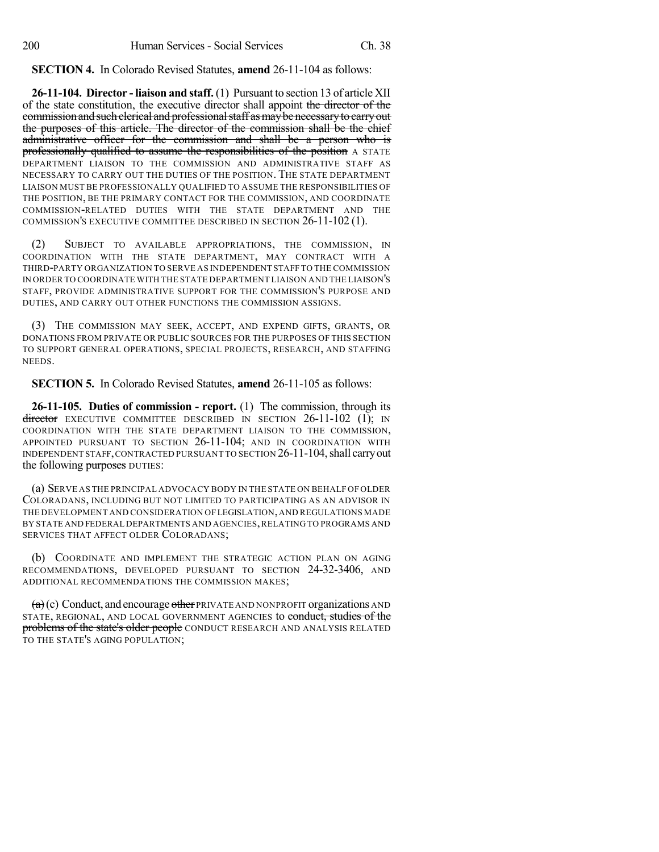**SECTION 4.** In Colorado Revised Statutes, **amend** 26-11-104 as follows:

**26-11-104. Director - liaison and staff.** (1) Pursuant to section 13 of article XII of the state constitution, the executive director shall appoint the director of the commission and such clerical and professional staff as may be necessary to carry out the purposes of this article. The director of the commission shall be the chief administrative officer for the commission and shall be a person who is professionally qualified to assume the responsibilities of the position A STATE DEPARTMENT LIAISON TO THE COMMISSION AND ADMINISTRATIVE STAFF AS NECESSARY TO CARRY OUT THE DUTIES OF THE POSITION. THE STATE DEPARTMENT LIAISON MUST BE PROFESSIONALLY QUALIFIED TO ASSUME THE RESPONSIBILITIES OF THE POSITION, BE THE PRIMARY CONTACT FOR THE COMMISSION, AND COORDINATE COMMISSION-RELATED DUTIES WITH THE STATE DEPARTMENT AND THE COMMISSION'S EXECUTIVE COMMITTEE DESCRIBED IN SECTION 26-11-102 (1).

(2) SUBJECT TO AVAILABLE APPROPRIATIONS, THE COMMISSION, IN COORDINATION WITH THE STATE DEPARTMENT, MAY CONTRACT WITH A THIRD-PARTY ORGANIZATION TO SERVE AS INDEPENDENT STAFF TO THE COMMISSION IN ORDER TO COORDINATE WITH THE STATE DEPARTMENT LIAISON AND THE LIAISON'S STAFF, PROVIDE ADMINISTRATIVE SUPPORT FOR THE COMMISSION'S PURPOSE AND DUTIES, AND CARRY OUT OTHER FUNCTIONS THE COMMISSION ASSIGNS.

(3) THE COMMISSION MAY SEEK, ACCEPT, AND EXPEND GIFTS, GRANTS, OR DONATIONS FROM PRIVATE OR PUBLIC SOURCES FOR THE PURPOSES OF THIS SECTION TO SUPPORT GENERAL OPERATIONS, SPECIAL PROJECTS, RESEARCH, AND STAFFING NEEDS.

**SECTION 5.** In Colorado Revised Statutes, **amend** 26-11-105 as follows:

**26-11-105. Duties of commission - report.** (1) The commission, through its  $\frac{d}{dt}$  EXECUTIVE COMMITTEE DESCRIBED IN SECTION 26-11-102 (1); IN COORDINATION WITH THE STATE DEPARTMENT LIAISON TO THE COMMISSION, APPOINTED PURSUANT TO SECTION 26-11-104; AND IN COORDINATION WITH INDEPENDENT STAFF,CONTRACTED PURSUANT TO SECTION 26-11-104,shall carryout the following purposes DUTIES:

(a) SERVE AS THE PRINCIPAL ADVOCACY BODY IN THE STATE ON BEHALF OF OLDER COLORADANS, INCLUDING BUT NOT LIMITED TO PARTICIPATING AS AN ADVISOR IN THE DEVELOPMENT AND CONSIDERATION OFLEGISLATION,AND REGULATIONS MADE BY STATE AND FEDERAL DEPARTMENTS AND AGENCIES,RELATING TO PROGRAMS AND SERVICES THAT AFFECT OLDER COLORADANS;

(b) COORDINATE AND IMPLEMENT THE STRATEGIC ACTION PLAN ON AGING RECOMMENDATIONS, DEVELOPED PURSUANT TO SECTION 24-32-3406, AND ADDITIONAL RECOMMENDATIONS THE COMMISSION MAKES;

 $(a)$  (c) Conduct, and encourage other PRIVATE AND NONPROFIT organizations AND STATE, REGIONAL, AND LOCAL GOVERNMENT AGENCIES to conduct, studies of the problems of the state's older people CONDUCT RESEARCH AND ANALYSIS RELATED TO THE STATE'S AGING POPULATION;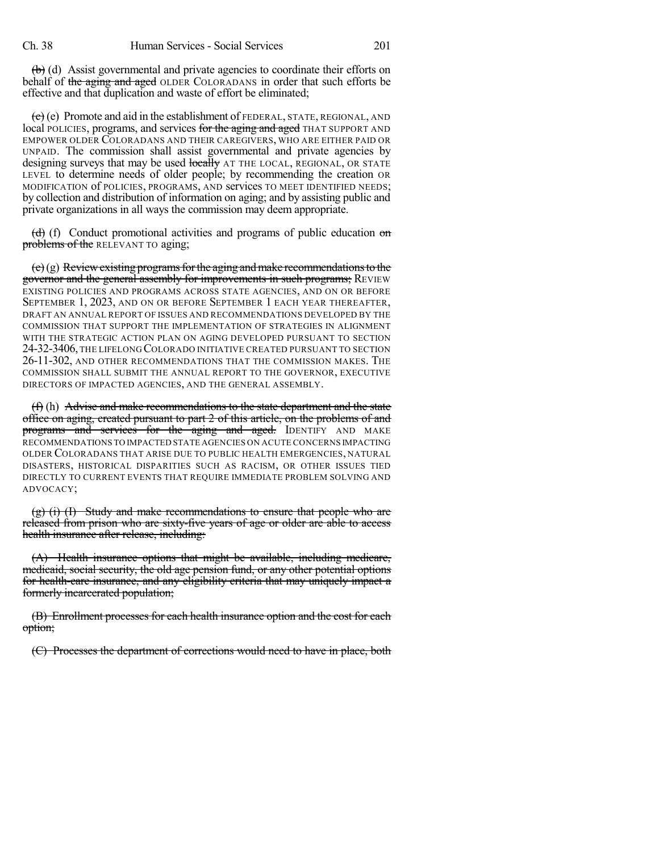(b) (d) Assist governmental and private agencies to coordinate their efforts on behalf of the aging and aged OLDER COLORADANS in order that such efforts be effective and that duplication and waste of effort be eliminated;

 $\overline{c}$  (e) Promote and aid in the establishment of FEDERAL, STATE, REGIONAL, AND local POLICIES, programs, and services for the aging and aged THAT SUPPORT AND EMPOWER OLDER COLORADANS AND THEIR CAREGIVERS, WHO ARE EITHER PAID OR UNPAID. The commission shall assist governmental and private agencies by designing surveys that may be used locally AT THE LOCAL, REGIONAL, OR STATE LEVEL to determine needs of older people; by recommending the creation OR MODIFICATION of POLICIES, PROGRAMS, AND services TO MEET IDENTIFIED NEEDS; by collection and distribution of information on aging; and by assisting public and private organizations in all ways the commission may deem appropriate.

 $\left(\frac{d}{d}\right)$  (f) Conduct promotional activities and programs of public education on problems of the RELEVANT TO aging;

 $(e)(g)$  Review existing programs for the aging and make recommendations to the governor and the general assembly for improvements in such programs; REVIEW EXISTING POLICIES AND PROGRAMS ACROSS STATE AGENCIES, AND ON OR BEFORE SEPTEMBER 1, 2023, AND ON OR BEFORE SEPTEMBER 1 EACH YEAR THEREAFTER, DRAFT AN ANNUAL REPORT OF ISSUES AND RECOMMENDATIONS DEVELOPED BY THE COMMISSION THAT SUPPORT THE IMPLEMENTATION OF STRATEGIES IN ALIGNMENT WITH THE STRATEGIC ACTION PLAN ON AGING DEVELOPED PURSUANT TO SECTION 24-32-3406, THE LIFELONG COLORADO INITIATIVE CREATED PURSUANT TO SECTION 26-11-302, AND OTHER RECOMMENDATIONS THAT THE COMMISSION MAKES. THE COMMISSION SHALL SUBMIT THE ANNUAL REPORT TO THE GOVERNOR, EXECUTIVE DIRECTORS OF IMPACTED AGENCIES, AND THE GENERAL ASSEMBLY.

(f) (h) Advise and make recommendations to the state department and the state office on aging, created pursuant to part 2 of this article, on the problems of and programs and services for the aging and aged. IDENTIFY AND MAKE RECOMMENDATIONS TO IMPACTED STATE AGENCIES ON ACUTE CONCERNS IMPACTING OLDER COLORADANS THAT ARISE DUE TO PUBLIC HEALTH EMERGENCIES, NATURAL DISASTERS, HISTORICAL DISPARITIES SUCH AS RACISM, OR OTHER ISSUES TIED DIRECTLY TO CURRENT EVENTS THAT REQUIRE IMMEDIATE PROBLEM SOLVING AND ADVOCACY;

 $(g)$  (i) (I) Study and make recommendations to ensure that people who are released from prison who are sixty-five years of age or older are able to access health insurance after release, including:

(A) Health insurance options that might be available, including medicare, medicaid, social security, the old age pension fund, or any other potential options for health-care insurance, and any eligibility criteria that may uniquely impact a formerly incarcerated population;

(B) Enrollment processes for each health insurance option and the cost for each option;

(C) Processes the department of corrections would need to have in place, both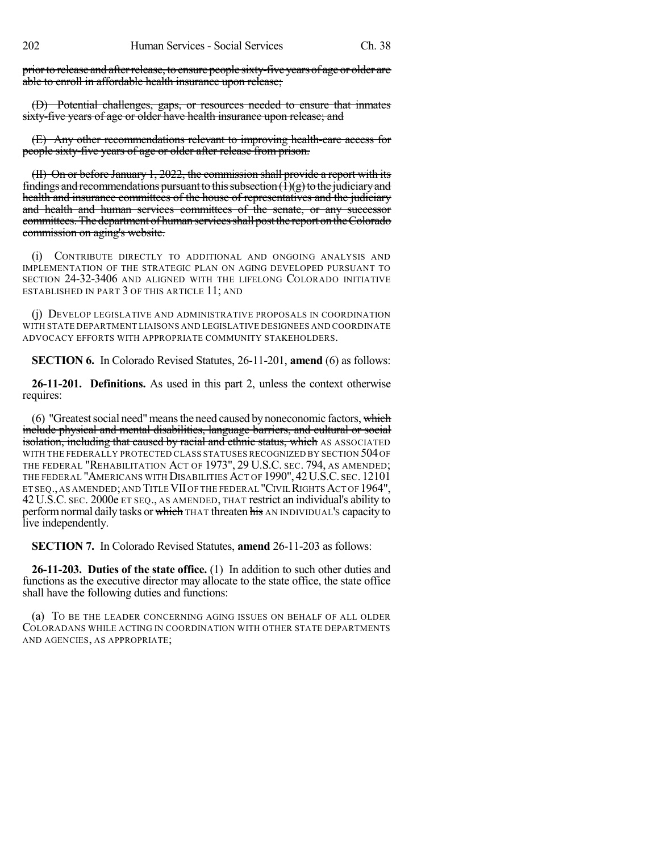prior to release and after release, to ensure people sixty-five years of age or older are able to enroll in affordable health insurance upon release;

(D) Potential challenges, gaps, or resources needed to ensure that inmates sixty-five years of age or older have health insurance upon release; and

(E) Any other recommendations relevant to improving health-care access for people sixty-five years of age or older after release from prison.

(II) On or before January 1, 2022, the commission shall provide a report with its findings and recommendations pursuant to this subsection  $(1)(g)$  to the judiciary and health and insurance committees of the house of representatives and the judiciary and health and human services committees of the senate, or any successor committees.The department of human servicesshall postthe report ontheColorado commission on aging's website.

(i) CONTRIBUTE DIRECTLY TO ADDITIONAL AND ONGOING ANALYSIS AND IMPLEMENTATION OF THE STRATEGIC PLAN ON AGING DEVELOPED PURSUANT TO SECTION 24-32-3406 AND ALIGNED WITH THE LIFELONG COLORADO INITIATIVE ESTABLISHED IN PART 3 OF THIS ARTICLE 11; AND

(j) DEVELOP LEGISLATIVE AND ADMINISTRATIVE PROPOSALS IN COORDINATION WITH STATE DEPARTMENT LIAISONS AND LEGISLATIVE DESIGNEES AND COORDINATE ADVOCACY EFFORTS WITH APPROPRIATE COMMUNITY STAKEHOLDERS.

**SECTION 6.** In Colorado Revised Statutes, 26-11-201, **amend** (6) as follows:

**26-11-201. Definitions.** As used in this part 2, unless the context otherwise requires:

 $(6)$  "Greatest social need" means the need caused by noneconomic factors, which include physical and mental disabilities, language barriers, and cultural or social isolation, including that caused by racial and ethnic status, which AS ASSOCIATED WITH THE FEDERALLY PROTECTED CLASS STATUSES RECOGNIZED BY SECTION 504 OF THE FEDERAL "REHABILITATION ACT OF 1973", 29 U.S.C. SEC. 794, AS AMENDED; THE FEDERAL "AMERICANS WITH DISABILITIES ACT OF 1990", 42U.S.C. SEC. 12101 ET SEQ., AS AMENDED;AND TITLEVIIOF THE FEDERAL "CIVILRIGHTSACT OF 1964", 42 U.S.C. SEC. 2000e ET SEQ., AS AMENDED, THAT restrict an individual's ability to perform normal daily tasks or which THAT threaten his AN INDIVIDUAL's capacity to live independently.

**SECTION 7.** In Colorado Revised Statutes, **amend** 26-11-203 as follows:

**26-11-203. Duties of the state office.** (1) In addition to such other duties and functions as the executive director may allocate to the state office, the state office shall have the following duties and functions:

(a) TO BE THE LEADER CONCERNING AGING ISSUES ON BEHALF OF ALL OLDER COLORADANS WHILE ACTING IN COORDINATION WITH OTHER STATE DEPARTMENTS AND AGENCIES, AS APPROPRIATE;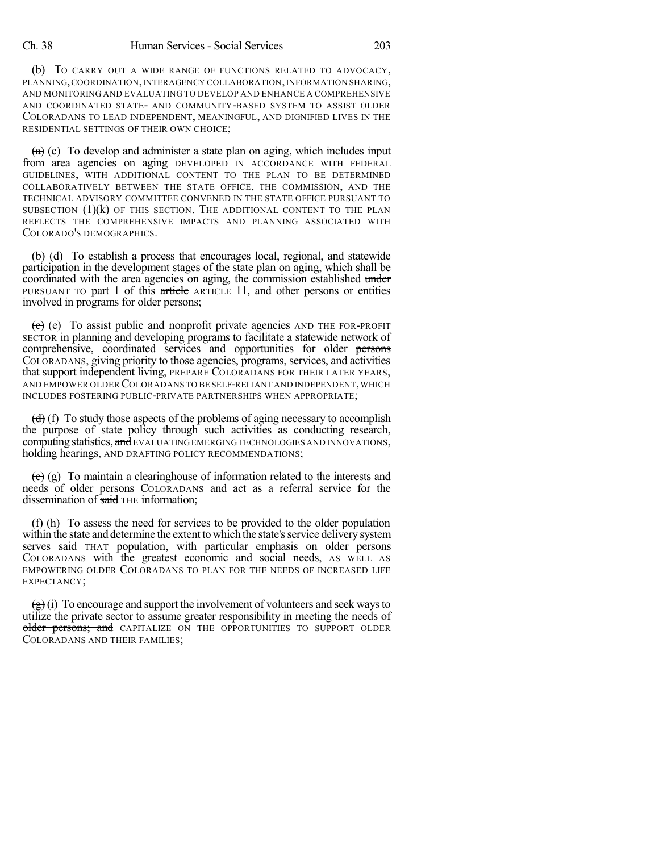(b) TO CARRY OUT A WIDE RANGE OF FUNCTIONS RELATED TO ADVOCACY, PLANNING,COORDINATION,INTERAGENCY COLLABORATION,INFORMATION SHARING, AND MONITORING AND EVALUATING TO DEVELOP AND ENHANCE A COMPREHENSIVE AND COORDINATED STATE- AND COMMUNITY-BASED SYSTEM TO ASSIST OLDER COLORADANS TO LEAD INDEPENDENT, MEANINGFUL, AND DIGNIFIED LIVES IN THE RESIDENTIAL SETTINGS OF THEIR OWN CHOICE;

 $(a)$  (c) To develop and administer a state plan on aging, which includes input from area agencies on aging DEVELOPED IN ACCORDANCE WITH FEDERAL GUIDELINES, WITH ADDITIONAL CONTENT TO THE PLAN TO BE DETERMINED COLLABORATIVELY BETWEEN THE STATE OFFICE, THE COMMISSION, AND THE TECHNICAL ADVISORY COMMITTEE CONVENED IN THE STATE OFFICE PURSUANT TO SUBSECTION  $(1)(k)$  of this section. The additional content to the plan REFLECTS THE COMPREHENSIVE IMPACTS AND PLANNING ASSOCIATED WITH COLORADO'S DEMOGRAPHICS.

 $\left(\frac{b}{b}\right)$  (d) To establish a process that encourages local, regional, and statewide participation in the development stages of the state plan on aging, which shall be coordinated with the area agencies on aging, the commission established under PURSUANT TO part 1 of this article ARTICLE 11, and other persons or entities involved in programs for older persons;

 $(e)$  (e) To assist public and nonprofit private agencies AND THE FOR-PROFIT SECTOR in planning and developing programs to facilitate a statewide network of comprehensive, coordinated services and opportunities for older persons COLORADANS, giving priority to those agencies, programs, services, and activities that support independent living, PREPARE COLORADANS FOR THEIR LATER YEARS, AND EMPOWER OLDER COLORADANS TO BE SELF-RELIANT AND INDEPENDENT, WHICH INCLUDES FOSTERING PUBLIC-PRIVATE PARTNERSHIPS WHEN APPROPRIATE;

 $(d)$  (f) To study those aspects of the problems of aging necessary to accomplish the purpose of state policy through such activities as conducting research, computing statistics, and EVALUATING EMERGING TECHNOLOGIES AND INNOVATIONS, holding hearings, AND DRAFTING POLICY RECOMMENDATIONS;

 $\overrightarrow{e}$  (g) To maintain a clearinghouse of information related to the interests and needs of older persons COLORADANS and act as a referral service for the dissemination of said THE information:

(f) (h) To assess the need for services to be provided to the older population within the state and determine the extent to which the state's service delivery system serves said THAT population, with particular emphasis on older persons COLORADANS with the greatest economic and social needs, AS WELL AS EMPOWERING OLDER COLORADANS TO PLAN FOR THE NEEDS OF INCREASED LIFE EXPECTANCY;

 $\left(\frac{\mathbf{e}}{\mathbf{e}}\right)$  (i) To encourage and support the involvement of volunteers and seek ways to utilize the private sector to assume greater responsibility in meeting the needs of older persons; and CAPITALIZE ON THE OPPORTUNITIES TO SUPPORT OLDER COLORADANS AND THEIR FAMILIES;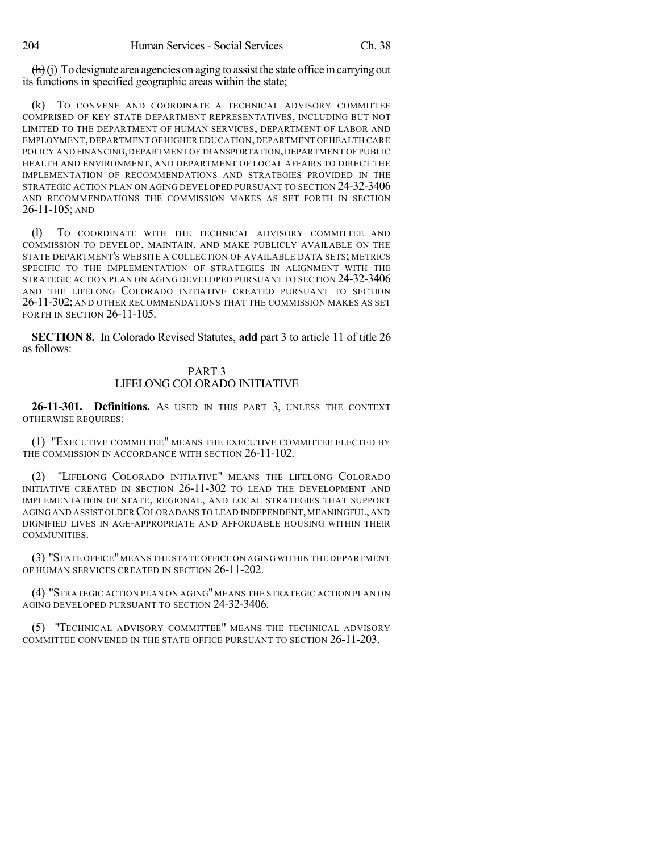$\left(\frac{h}{h}\right)$ (j) To designate area agencies on aging to assist the state office in carrying out its functions in specified geographic areas within the state;

(k) TO CONVENE AND COORDINATE A TECHNICAL ADVISORY COMMITTEE COMPRISED OF KEY STATE DEPARTMENT REPRESENTATIVES, INCLUDING BUT NOT LIMITED TO THE DEPARTMENT OF HUMAN SERVICES, DEPARTMENT OF LABOR AND EMPLOYMENT, DEPARTMENT OF HIGHER EDUCATION, DEPARTMENT OF HEALTH CARE POLICY AND FINANCING, DEPARTMENT OF TRANSPORTATION, DEPARTMENT OF PUBLIC HEALTH AND ENVIRONMENT, AND DEPARTMENT OF LOCAL AFFAIRS TO DIRECT THE IMPLEMENTATION OF RECOMMENDATIONS AND STRATEGIES PROVIDED IN THE STRATEGIC ACTION PLAN ON AGING DEVELOPED PURSUANT TO SECTION 24-32-3406 AND RECOMMENDATIONS THE COMMISSION MAKES AS SET FORTH IN SECTION 26-11-105; AND

(l) TO COORDINATE WITH THE TECHNICAL ADVISORY COMMITTEE AND COMMISSION TO DEVELOP, MAINTAIN, AND MAKE PUBLICLY AVAILABLE ON THE STATE DEPARTMENT'S WEBSITE A COLLECTION OF AVAILABLE DATA SETS; METRICS SPECIFIC TO THE IMPLEMENTATION OF STRATEGIES IN ALIGNMENT WITH THE STRATEGIC ACTION PLAN ON AGING DEVELOPED PURSUANT TO SECTION 24-32-3406 AND THE LIFELONG COLORADO INITIATIVE CREATED PURSUANT TO SECTION 26-11-302; AND OTHER RECOMMENDATIONS THAT THE COMMISSION MAKES AS SET FORTH IN SECTION 26-11-105.

**SECTION 8.** In Colorado Revised Statutes, **add** part 3 to article 11 of title 26 as follows:

### PART 3 LIFELONG COLORADO INITIATIVE

**26-11-301. Definitions.** AS USED IN THIS PART 3, UNLESS THE CONTEXT OTHERWISE REQUIRES:

(1) "EXECUTIVE COMMITTEE" MEANS THE EXECUTIVE COMMITTEE ELECTED BY THE COMMISSION IN ACCORDANCE WITH SECTION 26-11-102.

(2) "LIFELONG COLORADO INITIATIVE" MEANS THE LIFELONG COLORADO INITIATIVE CREATED IN SECTION 26-11-302 TO LEAD THE DEVELOPMENT AND IMPLEMENTATION OF STATE, REGIONAL, AND LOCAL STRATEGIES THAT SUPPORT AGING AND ASSIST OLDER COLORADANS TO LEAD INDEPENDENT, MEANINGFUL, AND DIGNIFIED LIVES IN AGE-APPROPRIATE AND AFFORDABLE HOUSING WITHIN THEIR COMMUNITIES.

(3) "STATE OFFICE"MEANS THE STATE OFFICE ON AGING WITHIN THE DEPARTMENT OF HUMAN SERVICES CREATED IN SECTION 26-11-202.

(4) "STRATEGIC ACTION PLAN ON AGING"MEANS THE STRATEGIC ACTION PLAN ON AGING DEVELOPED PURSUANT TO SECTION 24-32-3406.

(5) "TECHNICAL ADVISORY COMMITTEE" MEANS THE TECHNICAL ADVISORY COMMITTEE CONVENED IN THE STATE OFFICE PURSUANT TO SECTION 26-11-203.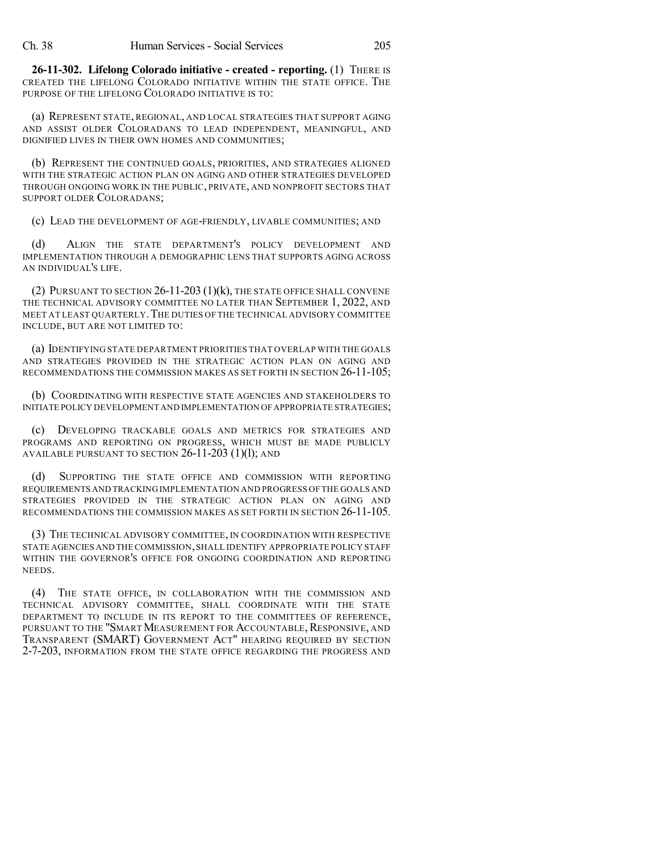**26-11-302. Lifelong Colorado initiative - created - reporting.** (1) THERE IS CREATED THE LIFELONG COLORADO INITIATIVE WITHIN THE STATE OFFICE. THE PURPOSE OF THE LIFELONG COLORADO INITIATIVE IS TO:

(a) REPRESENT STATE, REGIONAL, AND LOCAL STRATEGIES THAT SUPPORT AGING AND ASSIST OLDER COLORADANS TO LEAD INDEPENDENT, MEANINGFUL, AND DIGNIFIED LIVES IN THEIR OWN HOMES AND COMMUNITIES;

(b) REPRESENT THE CONTINUED GOALS, PRIORITIES, AND STRATEGIES ALIGNED WITH THE STRATEGIC ACTION PLAN ON AGING AND OTHER STRATEGIES DEVELOPED THROUGH ONGOING WORK IN THE PUBLIC, PRIVATE, AND NONPROFIT SECTORS THAT SUPPORT OLDER COLORADANS;

(c) LEAD THE DEVELOPMENT OF AGE-FRIENDLY, LIVABLE COMMUNITIES; AND

(d) ALIGN THE STATE DEPARTMENT'S POLICY DEVELOPMENT AND IMPLEMENTATION THROUGH A DEMOGRAPHIC LENS THAT SUPPORTS AGING ACROSS AN INDIVIDUAL'S LIFE.

(2) PURSUANT TO SECTION 26-11-203 (1)(k), THE STATE OFFICE SHALL CONVENE THE TECHNICAL ADVISORY COMMITTEE NO LATER THAN SEPTEMBER 1, 2022, AND MEET AT LEAST QUARTERLY.THE DUTIES OF THE TECHNICAL ADVISORY COMMITTEE INCLUDE, BUT ARE NOT LIMITED TO:

(a) IDENTIFYING STATE DEPARTMENT PRIORITIES THAT OVERLAP WITH THE GOALS AND STRATEGIES PROVIDED IN THE STRATEGIC ACTION PLAN ON AGING AND RECOMMENDATIONS THE COMMISSION MAKES AS SET FORTH IN SECTION 26-11-105;

(b) COORDINATING WITH RESPECTIVE STATE AGENCIES AND STAKEHOLDERS TO INITIATE POLICY DEVELOPMENT AND IMPLEMENTATION OF APPROPRIATE STRATEGIES;

(c) DEVELOPING TRACKABLE GOALS AND METRICS FOR STRATEGIES AND PROGRAMS AND REPORTING ON PROGRESS, WHICH MUST BE MADE PUBLICLY AVAILABLE PURSUANT TO SECTION  $26-11-203$  (1)(1); AND

SUPPORTING THE STATE OFFICE AND COMMISSION WITH REPORTING REQUIREMENTS AND TRACKINGIMPLEMENTATION AND PROGRESS OF THE GOALS AND STRATEGIES PROVIDED IN THE STRATEGIC ACTION PLAN ON AGING AND RECOMMENDATIONS THE COMMISSION MAKES AS SET FORTH IN SECTION 26-11-105.

(3) THE TECHNICAL ADVISORY COMMITTEE, IN COORDINATION WITH RESPECTIVE STATE AGENCIES AND THE COMMISSION,SHALL IDENTIFY APPROPRIATE POLICY STAFF WITHIN THE GOVERNOR'S OFFICE FOR ONGOING COORDINATION AND REPORTING NEEDS.

(4) THE STATE OFFICE, IN COLLABORATION WITH THE COMMISSION AND TECHNICAL ADVISORY COMMITTEE, SHALL COORDINATE WITH THE STATE DEPARTMENT TO INCLUDE IN ITS REPORT TO THE COMMITTEES OF REFERENCE, PURSUANT TO THE "SMART MEASUREMENT FOR ACCOUNTABLE, RESPONSIVE, AND TRANSPARENT (SMART) GOVERNMENT ACT" HEARING REQUIRED BY SECTION 2-7-203, INFORMATION FROM THE STATE OFFICE REGARDING THE PROGRESS AND